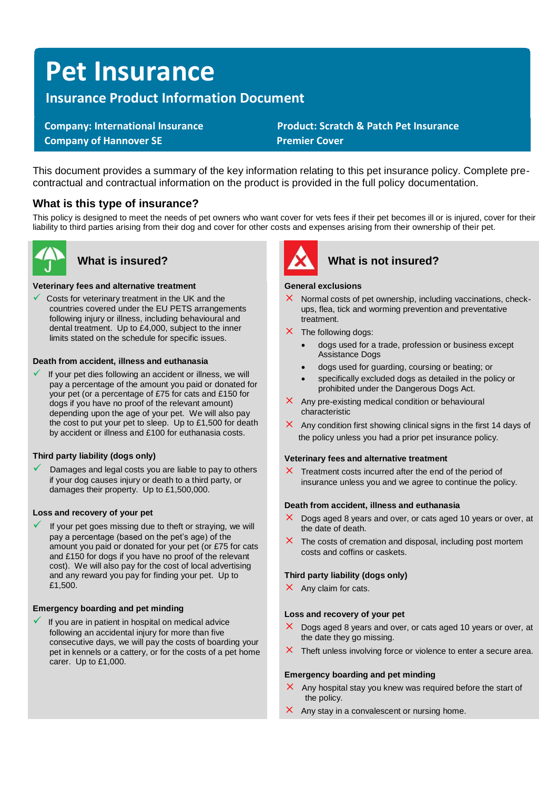# **Pet Insurance**

# **Insurance Product Information Document**

 **Company of Hannover SE** Premier Cover

 **Company: International Insurance Product: Scratch & Patch Pet Insurance** 

This document provides a summary of the key information relating to this pet insurance policy. Complete precontractual and contractual information on the product is provided in the full policy documentation.

# **What is this type of insurance?**

This policy is designed to meet the needs of pet owners who want cover for vets fees if their pet becomes ill or is injured, cover for their liability to third parties arising from their dog and cover for other costs and expenses arising from their ownership of their pet.



#### **Veterinary fees and alternative treatment**

 $\checkmark$  Costs for veterinary treatment in the UK and the countries covered under the EU PETS arrangements following injury or illness, including behavioural and dental treatment. Up to £4,000, subject to the inner limits stated on the schedule for specific issues.

#### **Death from accident, illness and euthanasia**

If your pet dies following an accident or illness, we will pay a percentage of the amount you paid or donated for your pet (or a percentage of £75 for cats and £150 for dogs if you have no proof of the relevant amount) depending upon the age of your pet. We will also pay the cost to put your pet to sleep. Up to £1,500 for death by accident or illness and £100 for euthanasia costs.

### **Third party liability (dogs only)**

Damages and legal costs you are liable to pay to others if your dog causes injury or death to a third party, or damages their property. Up to £1,500,000.

#### **Loss and recovery of your pet**

If your pet goes missing due to theft or straying, we will pay a percentage (based on the pet's age) of the amount you paid or donated for your pet (or £75 for cats and £150 for dogs if you have no proof of the relevant cost). We will also pay for the cost of local advertising and any reward you pay for finding your pet. Up to £1,500.

### **Emergency boarding and pet minding**

If you are in patient in hospital on medical advice following an accidental injury for more than five consecutive days, we will pay the costs of boarding your pet in kennels or a cattery, or for the costs of a pet home carer. Up to £1,000.



# **What is insured? What is not insured?**

#### **General exclusions**

- $\times$  Normal costs of pet ownership, including vaccinations, checkups, flea, tick and worming prevention and preventative treatment.
- $\times$  The following dogs:
	- dogs used for a trade, profession or business except Assistance Dogs
	- dogs used for guarding, coursing or beating; or
	- specifically excluded dogs as detailed in the policy or prohibited under the Dangerous Dogs Act.
- $\times$  Any pre-existing medical condition or behavioural characteristic
- $\times$  Any condition first showing clinical signs in the first 14 days of the policy unless you had a prior pet insurance policy.

#### **Veterinary fees and alternative treatment**

 $\times$  Treatment costs incurred after the end of the period of insurance unless you and we agree to continue the policy.

#### **Death from accident, illness and euthanasia**

- $\times$  Dogs aged 8 years and over, or cats aged 10 years or over, at the date of death.
- $\times$  The costs of cremation and disposal, including post mortem costs and coffins or caskets.

#### **Third party liability (dogs only)**

 $\times$  Any claim for cats.

#### **Loss and recovery of your pet**

- $\times$  Dogs aged 8 years and over, or cats aged 10 years or over, at the date they go missing.
- $\times$  Theft unless involving force or violence to enter a secure area.

#### **Emergency boarding and pet minding**

- $\times$  Any hospital stay you knew was required before the start of the policy.
- $\times$  Any stay in a convalescent or nursing home.